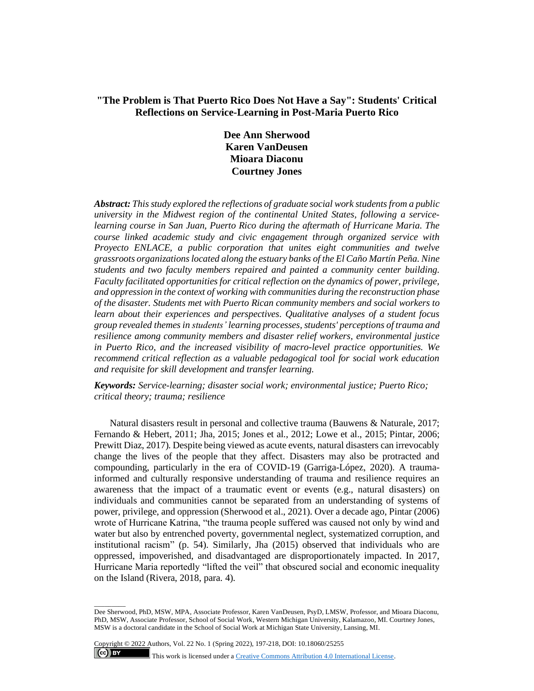# **"The Problem is That Puerto Rico Does Not Have a Say": Students' Critical Reflections on Service-Learning in Post-Maria Puerto Rico**

**Dee Ann Sherwood Karen VanDeusen Mioara Diaconu Courtney Jones**

*Abstract: This study explored the reflections of graduate social work students from a public university in the Midwest region of the continental United States, following a servicelearning course in San Juan, Puerto Rico during the aftermath of Hurricane Maria. The course linked academic study and civic engagement through organized service with Proyecto ENLACE, a public corporation that unites eight communities and twelve grassroots organizations located along the estuary banks of the El Caño Martín Peña. Nine students and two faculty members repaired and painted a community center building. Faculty facilitated opportunities for critical reflection on the dynamics of power, privilege, and oppression in the context of working with communities during the reconstruction phase of the disaster. Students met with Puerto Rican community members and social workers to learn about their experiences and perspectives. Qualitative analyses of a student focus group revealed themes in students' learning processes, students' perceptions of trauma and resilience among community members and disaster relief workers, environmental justice in Puerto Rico, and the increased visibility of macro-level practice opportunities. We recommend critical reflection as a valuable pedagogical tool for social work education and requisite for skill development and transfer learning.*

*Keywords: Service-learning; disaster social work; environmental justice; Puerto Rico; critical theory; trauma; resilience*

Natural disasters result in personal and collective trauma (Bauwens & Naturale, 2017; Fernando & Hebert, 2011; Jha, 2015; Jones et al., 2012; Lowe et al., 2015; Pintar, 2006; Prewitt Diaz, 2017). Despite being viewed as acute events, natural disasters can irrevocably change the lives of the people that they affect. Disasters may also be protracted and compounding, particularly in the era of COVID-19 (Garriga-López, 2020). A traumainformed and culturally responsive understanding of trauma and resilience requires an awareness that the impact of a traumatic event or events (e.g., natural disasters) on individuals and communities cannot be separated from an understanding of systems of power, privilege, and oppression (Sherwood et al., 2021). Over a decade ago, Pintar (2006) wrote of Hurricane Katrina, "the trauma people suffered was caused not only by wind and water but also by entrenched poverty, governmental neglect, systematized corruption, and institutional racism" (p. 54). Similarly, Jha (2015) observed that individuals who are oppressed, impoverished, and disadvantaged are disproportionately impacted. In 2017, Hurricane Maria reportedly "lifted the veil" that obscured social and economic inequality on the Island (Rivera, 2018, para. 4).

Copyright © 2022 Authors, Vol. 22 No. 1 (Spring 2022), 197-218, DOI: 10.18060/25255  $(cc)$  BY

 $\overline{\phantom{a}}$  . The contract of  $\overline{\phantom{a}}$ 

This work is licensed under a **Creative Commons Attribution 4.0 International License**.

Dee Sherwood, PhD, MSW, MPA, Associate Professor, Karen VanDeusen, PsyD, LMSW, Professor, and Mioara Diaconu, PhD, MSW, Associate Professor, School of Social Work, Western Michigan University, Kalamazoo, MI. Courtney Jones, MSW is a doctoral candidate in the School of Social Work at Michigan State University, Lansing, MI.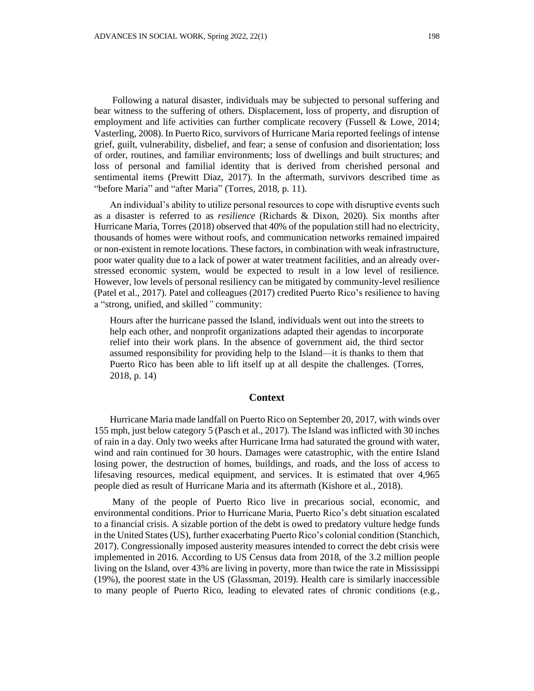Following a natural disaster, individuals may be subjected to personal suffering and bear witness to the suffering of others. Displacement, loss of property, and disruption of employment and life activities can further complicate recovery (Fussell & Lowe, 2014; Vasterling, 2008). In Puerto Rico, survivors of Hurricane Maria reported feelings of intense grief, guilt, vulnerability, disbelief, and fear; a sense of confusion and disorientation; loss of order, routines, and familiar environments; loss of dwellings and built structures; and loss of personal and familial identity that is derived from cherished personal and sentimental items (Prewitt Diaz, 2017). In the aftermath, survivors described time as "before Maria" and "after Maria" (Torres, 2018, p. 11).

An individual's ability to utilize personal resources to cope with disruptive events such as a disaster is referred to as *resilience* (Richards & Dixon, 2020). Six months after Hurricane Maria, Torres (2018) observed that 40% of the population still had no electricity, thousands of homes were without roofs, and communication networks remained impaired or non-existent in remote locations. These factors, in combination with weak infrastructure, poor water quality due to a lack of power at water treatment facilities, and an already overstressed economic system, would be expected to result in a low level of resilience. However, low levels of personal resiliency can be mitigated by community-level resilience (Patel et al., 2017). Patel and colleagues (2017) credited Puerto Rico's resilience to having a "strong, unified, and skilled*"* community:

Hours after the hurricane passed the Island, individuals went out into the streets to help each other, and nonprofit organizations adapted their agendas to incorporate relief into their work plans. In the absence of government aid, the third sector assumed responsibility for providing help to the Island—it is thanks to them that Puerto Rico has been able to lift itself up at all despite the challenges. (Torres, 2018, p. 14)

#### **Context**

Hurricane Maria made landfall on Puerto Rico on September 20, 2017, with winds over 155 mph, just below category 5 (Pasch et al., 2017). The Island was inflicted with 30 inches of rain in a day. Only two weeks after Hurricane Irma had saturated the ground with water, wind and rain continued for 30 hours. Damages were catastrophic, with the entire Island losing power, the destruction of homes, buildings, and roads, and the loss of access to lifesaving resources, medical equipment, and services. It is estimated that over 4,965 people died as result of Hurricane Maria and its aftermath (Kishore et al., 2018).

Many of the people of Puerto Rico live in precarious social, economic, and environmental conditions. Prior to Hurricane Maria, Puerto Rico's debt situation escalated to a financial crisis. A sizable portion of the debt is owed to predatory vulture hedge funds in the United States (US), further exacerbating Puerto Rico's colonial condition (Stanchich, 2017). Congressionally imposed austerity measures intended to correct the debt crisis were implemented in 2016. According to US Census data from 2018, of the 3.2 million people living on the Island, over 43% are living in poverty, more than twice the rate in Mississippi (19%), the poorest state in the US (Glassman, 2019). Health care is similarly inaccessible to many people of Puerto Rico, leading to elevated rates of chronic conditions (e.g.,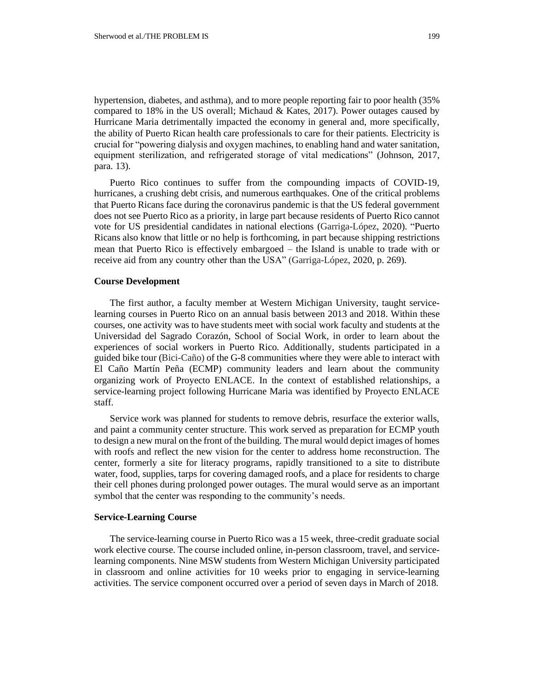hypertension, diabetes, and asthma), and to more people reporting fair to poor health (35% compared to  $18\%$  in the US overall; Michaud & Kates, 2017). Power outages caused by Hurricane Maria detrimentally impacted the economy in general and, more specifically, the ability of Puerto Rican health care professionals to care for their patients. Electricity is crucial for "powering dialysis and oxygen machines, to enabling hand and water sanitation, equipment sterilization, and refrigerated storage of vital medications" (Johnson, 2017, para. 13).

Puerto Rico continues to suffer from the compounding impacts of COVID-19, hurricanes, a crushing debt crisis, and numerous earthquakes. One of the critical problems that Puerto Ricans face during the coronavirus pandemic is that the US federal government does not see Puerto Rico as a priority, in large part because residents of Puerto Rico cannot vote for US presidential candidates in national elections (Garriga-López, 2020). "Puerto Ricans also know that little or no help is forthcoming, in part because shipping restrictions mean that Puerto Rico is effectively embargoed – the Island is unable to trade with or receive aid from any country other than the USA" (Garriga-López, 2020, p. 269).

#### **Course Development**

The first author, a faculty member at Western Michigan University, taught servicelearning courses in Puerto Rico on an annual basis between 2013 and 2018. Within these courses, one activity was to have students meet with social work faculty and students at the Universidad del Sagrado Corazón, School of Social Work, in order to learn about the experiences of social workers in Puerto Rico. Additionally, students participated in a guided bike tour (Bici-Caño) of the G-8 communities where they were able to interact with El Caño Martín Peña (ECMP) community leaders and learn about the community organizing work of Proyecto ENLACE. In the context of established relationships, a service-learning project following Hurricane Maria was identified by Proyecto ENLACE staff.

Service work was planned for students to remove debris, resurface the exterior walls, and paint a community center structure. This work served as preparation for ECMP youth to design a new mural on the front of the building. The mural would depict images of homes with roofs and reflect the new vision for the center to address home reconstruction. The center, formerly a site for literacy programs, rapidly transitioned to a site to distribute water, food, supplies, tarps for covering damaged roofs, and a place for residents to charge their cell phones during prolonged power outages. The mural would serve as an important symbol that the center was responding to the community's needs.

### **Service-Learning Course**

The service-learning course in Puerto Rico was a 15 week, three-credit graduate social work elective course. The course included online, in-person classroom, travel, and servicelearning components. Nine MSW students from Western Michigan University participated in classroom and online activities for 10 weeks prior to engaging in service-learning activities. The service component occurred over a period of seven days in March of 2018.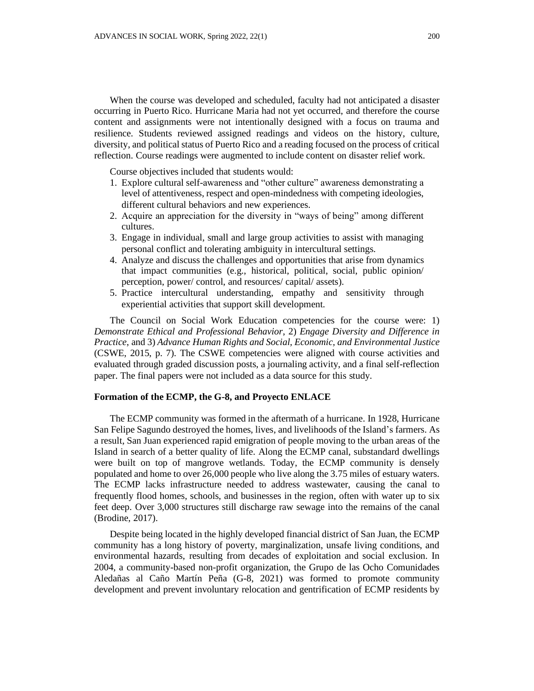When the course was developed and scheduled, faculty had not anticipated a disaster occurring in Puerto Rico. Hurricane Maria had not yet occurred, and therefore the course content and assignments were not intentionally designed with a focus on trauma and resilience. Students reviewed assigned readings and videos on the history, culture, diversity, and political status of Puerto Rico and a reading focused on the process of critical reflection. Course readings were augmented to include content on disaster relief work.

Course objectives included that students would:

- 1. Explore cultural self-awareness and "other culture" awareness demonstrating a level of attentiveness, respect and open-mindedness with competing ideologies, different cultural behaviors and new experiences.
- 2. Acquire an appreciation for the diversity in "ways of being" among different cultures.
- 3. Engage in individual, small and large group activities to assist with managing personal conflict and tolerating ambiguity in intercultural settings.
- 4. Analyze and discuss the challenges and opportunities that arise from dynamics that impact communities (e.g., historical, political, social, public opinion/ perception, power/ control, and resources/ capital/ assets).
- 5. Practice intercultural understanding, empathy and sensitivity through experiential activities that support skill development.

The Council on Social Work Education competencies for the course were: 1) *Demonstrate Ethical and Professional Behavior*, 2) *Engage Diversity and Difference in Practice*, and 3) *Advance Human Rights and Social, Economic, and Environmental Justice* (CSWE, 2015, p. 7). The CSWE competencies were aligned with course activities and evaluated through graded discussion posts, a journaling activity, and a final self-reflection paper. The final papers were not included as a data source for this study.

#### **Formation of the ECMP, the G-8, and Proyecto ENLACE**

The ECMP community was formed in the aftermath of a hurricane. In 1928, Hurricane San Felipe Sagundo destroyed the homes, lives, and livelihoods of the Island's farmers. As a result, San Juan experienced rapid emigration of people moving to the urban areas of the Island in search of a better quality of life. Along the ECMP canal, substandard dwellings were built on top of mangrove wetlands. Today, the ECMP community is densely populated and home to over 26,000 people who live along the 3.75 miles of estuary waters. The ECMP lacks infrastructure needed to address wastewater, causing the canal to frequently flood homes, schools, and businesses in the region, often with water up to six feet deep. Over 3,000 structures still discharge raw sewage into the remains of the canal (Brodine, 2017).

Despite being located in the highly developed financial district of San Juan, the ECMP community has a long history of poverty, marginalization, unsafe living conditions, and environmental hazards, resulting from decades of exploitation and social exclusion. In 2004, a community-based non-profit organization, the Grupo de las Ocho Comunidades Aledañas al Caño Martín Peña (G-8, 2021) was formed to promote community development and prevent involuntary relocation and gentrification of ECMP residents by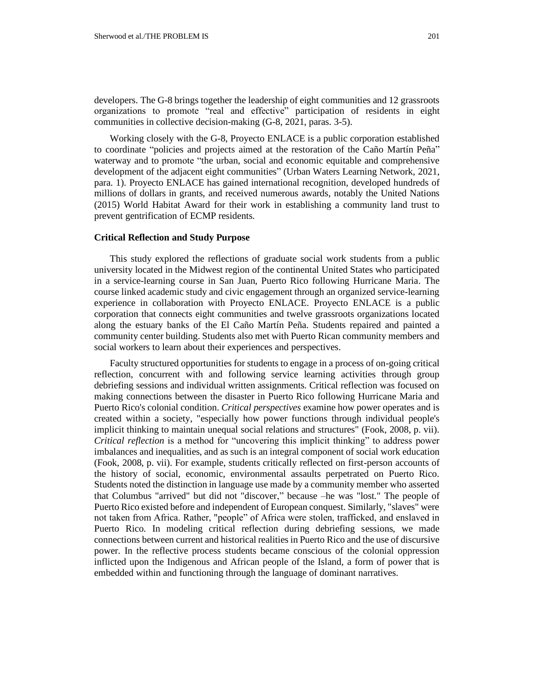developers. The G-8 brings together the leadership of eight communities and 12 grassroots organizations to promote "real and effective" participation of residents in eight communities in collective decision-making (G-8, 2021, paras. 3-5).

Working closely with the G-8, Proyecto ENLACE is a public corporation established to coordinate "policies and projects aimed at the restoration of the Caño Martín Peña" waterway and to promote "the urban, social and economic equitable and comprehensive development of the adjacent eight communities" (Urban Waters Learning Network, 2021, para. 1). Proyecto ENLACE has gained international recognition, developed hundreds of millions of dollars in grants, and received numerous awards, notably the United Nations (2015) World Habitat Award for their work in establishing a community land trust to prevent gentrification of ECMP residents.

#### **Critical Reflection and Study Purpose**

This study explored the reflections of graduate social work students from a public university located in the Midwest region of the continental United States who participated in a service-learning course in San Juan, Puerto Rico following Hurricane Maria. The course linked academic study and civic engagement through an organized service-learning experience in collaboration with Proyecto ENLACE. Proyecto ENLACE is a public corporation that connects eight communities and twelve grassroots organizations located along the estuary banks of the El Caño Martín Peña. Students repaired and painted a community center building. Students also met with Puerto Rican community members and social workers to learn about their experiences and perspectives.

Faculty structured opportunities for students to engage in a process of on-going critical reflection, concurrent with and following service learning activities through group debriefing sessions and individual written assignments. Critical reflection was focused on making connections between the disaster in Puerto Rico following Hurricane Maria and Puerto Rico's colonial condition. *Critical perspectives* examine how power operates and is created within a society, "especially how power functions through individual people's implicit thinking to maintain unequal social relations and structures" (Fook, 2008, p. vii). *Critical reflection* is a method for "uncovering this implicit thinking" to address power imbalances and inequalities, and as such is an integral component of social work education (Fook, 2008, p. vii). For example, students critically reflected on first-person accounts of the history of social, economic, environmental assaults perpetrated on Puerto Rico. Students noted the distinction in language use made by a community member who asserted that Columbus "arrived" but did not "discover," because –he was "lost." The people of Puerto Rico existed before and independent of European conquest. Similarly, "slaves" were not taken from Africa. Rather, "people" of Africa were stolen, trafficked, and enslaved in Puerto Rico. In modeling critical reflection during debriefing sessions, we made connections between current and historical realities in Puerto Rico and the use of discursive power. In the reflective process students became conscious of the colonial oppression inflicted upon the Indigenous and African people of the Island, a form of power that is embedded within and functioning through the language of dominant narratives.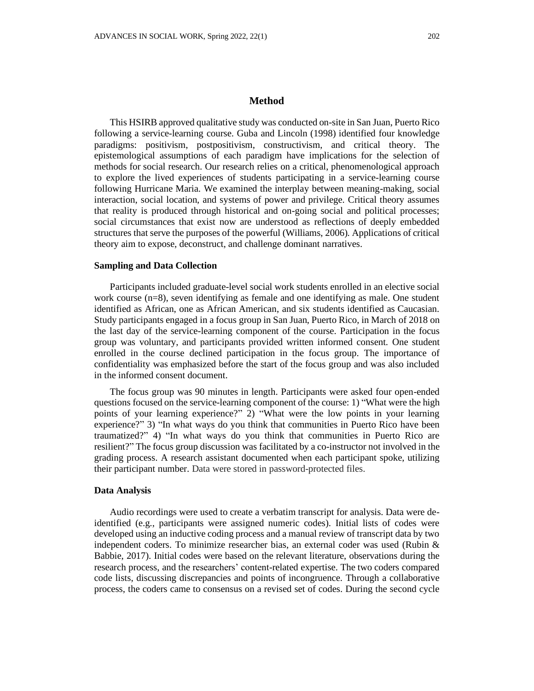### **Method**

This HSIRB approved qualitative study was conducted on-site in San Juan, Puerto Rico following a service-learning course. Guba and Lincoln (1998) identified four knowledge paradigms: positivism, postpositivism, constructivism, and critical theory. The epistemological assumptions of each paradigm have implications for the selection of methods for social research. Our research relies on a critical, phenomenological approach to explore the lived experiences of students participating in a service-learning course following Hurricane Maria. We examined the interplay between meaning-making, social interaction, social location, and systems of power and privilege. Critical theory assumes that reality is produced through historical and on-going social and political processes; social circumstances that exist now are understood as reflections of deeply embedded structures that serve the purposes of the powerful (Williams, 2006). Applications of critical theory aim to expose, deconstruct, and challenge dominant narratives.

#### **Sampling and Data Collection**

Participants included graduate-level social work students enrolled in an elective social work course (n=8), seven identifying as female and one identifying as male. One student identified as African, one as African American, and six students identified as Caucasian. Study participants engaged in a focus group in San Juan, Puerto Rico, in March of 2018 on the last day of the service-learning component of the course. Participation in the focus group was voluntary, and participants provided written informed consent. One student enrolled in the course declined participation in the focus group. The importance of confidentiality was emphasized before the start of the focus group and was also included in the informed consent document.

The focus group was 90 minutes in length. Participants were asked four open-ended questions focused on the service-learning component of the course: 1) "What were the high points of your learning experience?" 2) "What were the low points in your learning experience?" 3) "In what ways do you think that communities in Puerto Rico have been traumatized?" 4) "In what ways do you think that communities in Puerto Rico are resilient?" The focus group discussion was facilitated by a co-instructor not involved in the grading process. A research assistant documented when each participant spoke, utilizing their participant number. Data were stored in password-protected files.

#### **Data Analysis**

Audio recordings were used to create a verbatim transcript for analysis. Data were deidentified (e.g., participants were assigned numeric codes). Initial lists of codes were developed using an inductive coding process and a manual review of transcript data by two independent coders. To minimize researcher bias, an external coder was used (Rubin & Babbie, 2017). Initial codes were based on the relevant literature, observations during the research process, and the researchers' content-related expertise. The two coders compared code lists, discussing discrepancies and points of incongruence. Through a collaborative process, the coders came to consensus on a revised set of codes. During the second cycle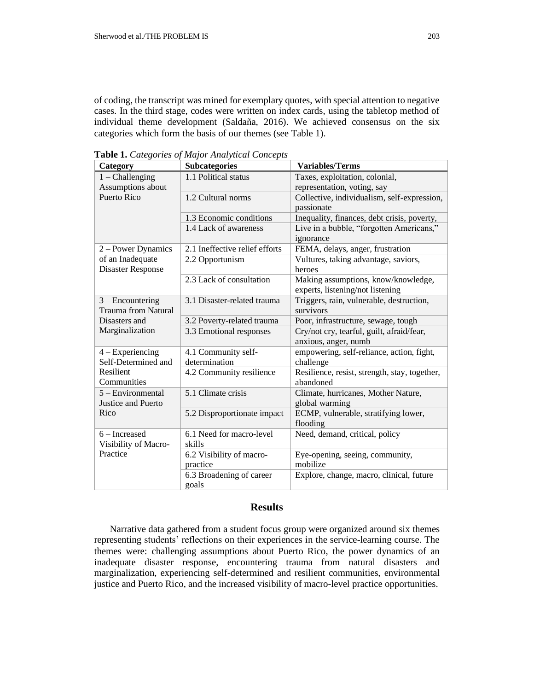of coding, the transcript was mined for exemplary quotes, with special attention to negative cases. In the third stage, codes were written on index cards, using the tabletop method of individual theme development (Saldaña, 2016). We achieved consensus on the six categories which form the basis of our themes (see Table 1).

**Table 1.** *Categories of Major Analytical Concepts*

| Category                                    | <b>Subcategories</b>           | <b>Variables/Terms</b>                        |
|---------------------------------------------|--------------------------------|-----------------------------------------------|
| $1$ – Challenging                           | 1.1 Political status           | Taxes, exploitation, colonial,                |
| Assumptions about                           |                                | representation, voting, say                   |
| <b>Puerto Rico</b>                          | 1.2 Cultural norms             | Collective, individualism, self-expression,   |
|                                             |                                | passionate                                    |
|                                             | 1.3 Economic conditions        | Inequality, finances, debt crisis, poverty,   |
|                                             | 1.4 Lack of awareness          | Live in a bubble, "forgotten Americans,"      |
|                                             |                                | ignorance                                     |
| 2 – Power Dynamics                          | 2.1 Ineffective relief efforts | FEMA, delays, anger, frustration              |
| of an Inadequate                            | 2.2 Opportunism                | Vultures, taking advantage, saviors,          |
| <b>Disaster Response</b>                    |                                | heroes                                        |
|                                             | 2.3 Lack of consultation       | Making assumptions, know/knowledge,           |
|                                             |                                | experts, listening/not listening              |
| $3 -$ Encountering                          | 3.1 Disaster-related trauma    | Triggers, rain, vulnerable, destruction,      |
| <b>Trauma from Natural</b><br>Disasters and |                                | survivors                                     |
|                                             | 3.2 Poverty-related trauma     | Poor, infrastructure, sewage, tough           |
| Marginalization                             | 3.3 Emotional responses        | Cry/not cry, tearful, guilt, afraid/fear,     |
|                                             |                                | anxious, anger, numb                          |
| $4 - Experiencing$                          | 4.1 Community self-            | empowering, self-reliance, action, fight,     |
| Self-Determined and                         | determination                  | challenge                                     |
| Resilient                                   | 4.2 Community resilience       | Resilience, resist, strength, stay, together, |
| Communities                                 |                                | abandoned                                     |
| 5 - Environmental                           | 5.1 Climate crisis             | Climate, hurricanes, Mother Nature,           |
| Justice and Puerto                          |                                | global warming                                |
| Rico                                        | 5.2 Disproportionate impact    | ECMP, vulnerable, stratifying lower,          |
|                                             |                                | flooding                                      |
| $6$ – Increased                             | 6.1 Need for macro-level       | Need, demand, critical, policy                |
| Visibility of Macro-                        | skills                         |                                               |
| Practice                                    | 6.2 Visibility of macro-       | Eye-opening, seeing, community,               |
|                                             | practice                       | mobilize                                      |
|                                             | 6.3 Broadening of career       | Explore, change, macro, clinical, future      |
|                                             | goals                          |                                               |

### **Results**

Narrative data gathered from a student focus group were organized around six themes representing students' reflections on their experiences in the service-learning course. The themes were: challenging assumptions about Puerto Rico, the power dynamics of an inadequate disaster response, encountering trauma from natural disasters and marginalization, experiencing self-determined and resilient communities, environmental justice and Puerto Rico, and the increased visibility of macro-level practice opportunities.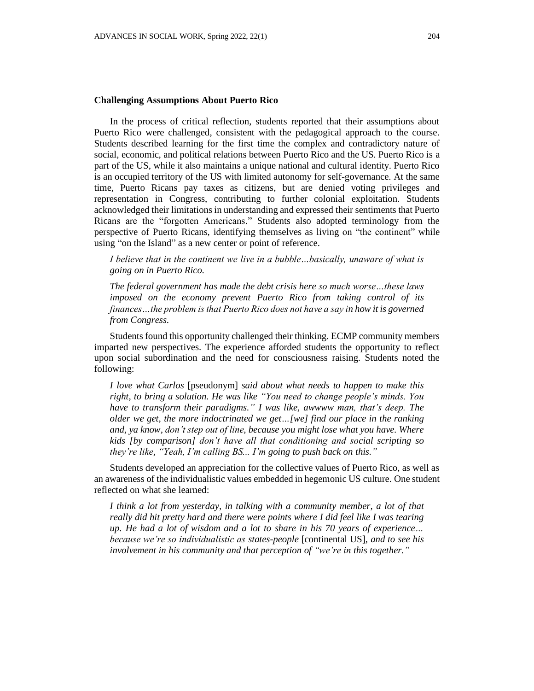## **Challenging Assumptions About Puerto Rico**

In the process of critical reflection, students reported that their assumptions about Puerto Rico were challenged, consistent with the pedagogical approach to the course. Students described learning for the first time the complex and contradictory nature of social, economic, and political relations between Puerto Rico and the US. Puerto Rico is a part of the US, while it also maintains a unique national and cultural identity. Puerto Rico is an occupied territory of the US with limited autonomy for self-governance. At the same time, Puerto Ricans pay taxes as citizens, but are denied voting privileges and representation in Congress, contributing to further colonial exploitation. Students acknowledged their limitations in understanding and expressed their sentiments that Puerto Ricans are the "forgotten Americans." Students also adopted terminology from the perspective of Puerto Ricans, identifying themselves as living on "the continent" while using "on the Island" as a new center or point of reference.

*I believe that in the continent we live in a bubble…basically, unaware of what is going on in Puerto Rico.*

*The federal government has made the debt crisis here so much worse…these laws imposed on the economy prevent Puerto Rico from taking control of its finances…the problem is that Puerto Rico does not have a say in how it is governed from Congress.*

Students found this opportunity challenged their thinking. ECMP community members imparted new perspectives. The experience afforded students the opportunity to reflect upon social subordination and the need for consciousness raising. Students noted the following:

*I love what Carlos* [pseudonym] *said about what needs to happen to make this right, to bring a solution. He was like "You need to change people's minds. You have to transform their paradigms." I was like, awwww man, that's deep. The older we get, the more indoctrinated we get…[we] find our place in the ranking and, ya know, don't step out of line, because you might lose what you have. Where kids [by comparison] don't have all that conditioning and social scripting so they're like, "Yeah, I'm calling BS... I'm going to push back on this."*

Students developed an appreciation for the collective values of Puerto Rico, as well as an awareness of the individualistic values embedded in hegemonic US culture. One student reflected on what she learned:

*I think a lot from yesterday, in talking with a community member, a lot of that really did hit pretty hard and there were points where I did feel like I was tearing up. He had a lot of wisdom and a lot to share in his 70 years of experience… because we're so individualistic as states-people* [continental US]*, and to see his involvement in his community and that perception of "we're in this together."*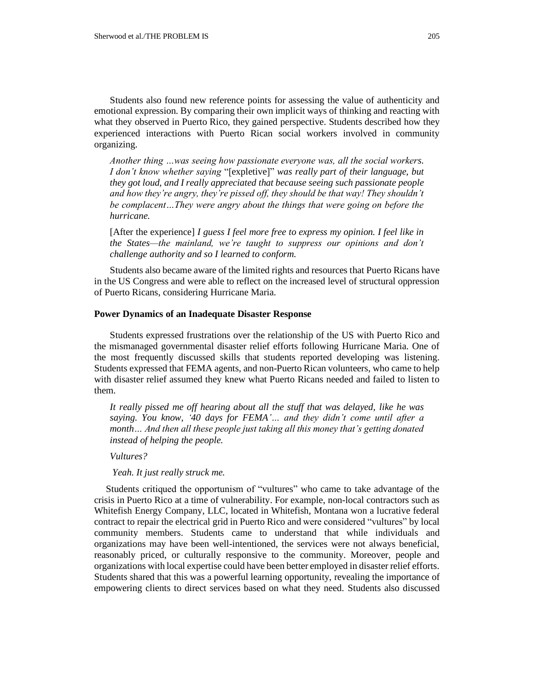Students also found new reference points for assessing the value of authenticity and emotional expression. By comparing their own implicit ways of thinking and reacting with what they observed in Puerto Rico, they gained perspective. Students described how they experienced interactions with Puerto Rican social workers involved in community organizing.

*Another thing …was seeing how passionate everyone was, all the social workers. I don't know whether saying* "[expletive]" *was really part of their language, but they got loud, and I really appreciated that because seeing such passionate people and how they're angry, they're pissed off, they should be that way! They shouldn't be complacent…They were angry about the things that were going on before the hurricane.*

[After the experience] *I guess I feel more free to express my opinion. I feel like in the States—the mainland, we're taught to suppress our opinions and don't challenge authority and so I learned to conform.*

Students also became aware of the limited rights and resources that Puerto Ricans have in the US Congress and were able to reflect on the increased level of structural oppression of Puerto Ricans, considering Hurricane Maria.

#### **Power Dynamics of an Inadequate Disaster Response**

Students expressed frustrations over the relationship of the US with Puerto Rico and the mismanaged governmental disaster relief efforts following Hurricane Maria. One of the most frequently discussed skills that students reported developing was listening. Students expressed that FEMA agents, and non-Puerto Rican volunteers, who came to help with disaster relief assumed they knew what Puerto Ricans needed and failed to listen to them.

*It really pissed me off hearing about all the stuff that was delayed, like he was saying. You know, '40 days for FEMA'… and they didn't come until after a month… And then all these people just taking all this money that's getting donated instead of helping the people.*

*Vultures?*

*Yeah. It just really struck me.*

Students critiqued the opportunism of "vultures" who came to take advantage of the crisis in Puerto Rico at a time of vulnerability. For example, non-local contractors such as Whitefish Energy Company, LLC, located in Whitefish, Montana won a lucrative federal contract to repair the electrical grid in Puerto Rico and were considered "vultures" by local community members. Students came to understand that while individuals and organizations may have been well-intentioned, the services were not always beneficial, reasonably priced, or culturally responsive to the community. Moreover, people and organizations with local expertise could have been better employed in disaster relief efforts. Students shared that this was a powerful learning opportunity, revealing the importance of empowering clients to direct services based on what they need. Students also discussed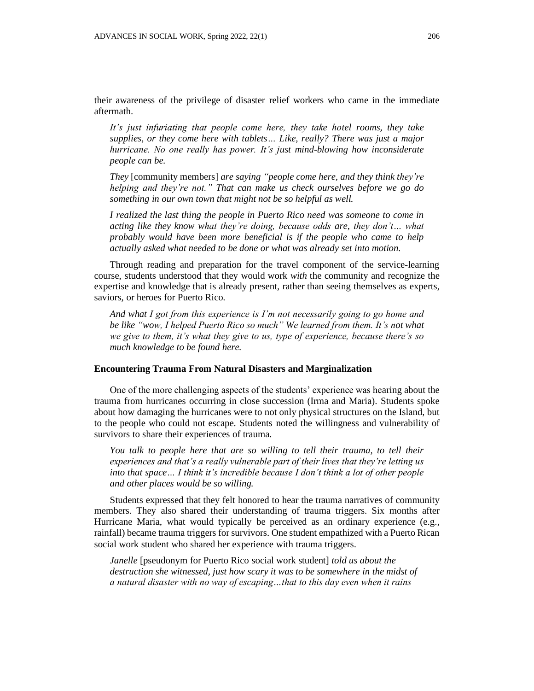their awareness of the privilege of disaster relief workers who came in the immediate aftermath.

*It's just infuriating that people come here, they take hotel rooms, they take supplies, or they come here with tablets… Like, really? There was just a major hurricane. No one really has power. It's just mind-blowing how inconsiderate people can be.*

*They* [community members] *are saying "people come here, and they think they're helping and they're not." That can make us check ourselves before we go do something in our own town that might not be so helpful as well.*

*I realized the last thing the people in Puerto Rico need was someone to come in acting like they know what they're doing, because odds are, they don't… what probably would have been more beneficial is if the people who came to help actually asked what needed to be done or what was already set into motion.*

Through reading and preparation for the travel component of the service-learning course, students understood that they would work *with* the community and recognize the expertise and knowledge that is already present, rather than seeing themselves as experts, saviors, or heroes for Puerto Rico.

*And what I got from this experience is I'm not necessarily going to go home and be like "wow, I helped Puerto Rico so much" We learned from them. It's not what we give to them, it's what they give to us, type of experience, because there's so much knowledge to be found here.*

#### **Encountering Trauma From Natural Disasters and Marginalization**

One of the more challenging aspects of the students' experience was hearing about the trauma from hurricanes occurring in close succession (Irma and Maria). Students spoke about how damaging the hurricanes were to not only physical structures on the Island, but to the people who could not escape. Students noted the willingness and vulnerability of survivors to share their experiences of trauma.

*You talk to people here that are so willing to tell their trauma, to tell their experiences and that's a really vulnerable part of their lives that they're letting us into that space… I think it's incredible because I don't think a lot of other people and other places would be so willing.*

Students expressed that they felt honored to hear the trauma narratives of community members. They also shared their understanding of trauma triggers. Six months after Hurricane Maria, what would typically be perceived as an ordinary experience (e.g., rainfall) became trauma triggers for survivors. One student empathized with a Puerto Rican social work student who shared her experience with trauma triggers.

*Janelle* [pseudonym for Puerto Rico social work student] *told us about the destruction she witnessed, just how scary it was to be somewhere in the midst of a natural disaster with no way of escaping…that to this day even when it rains*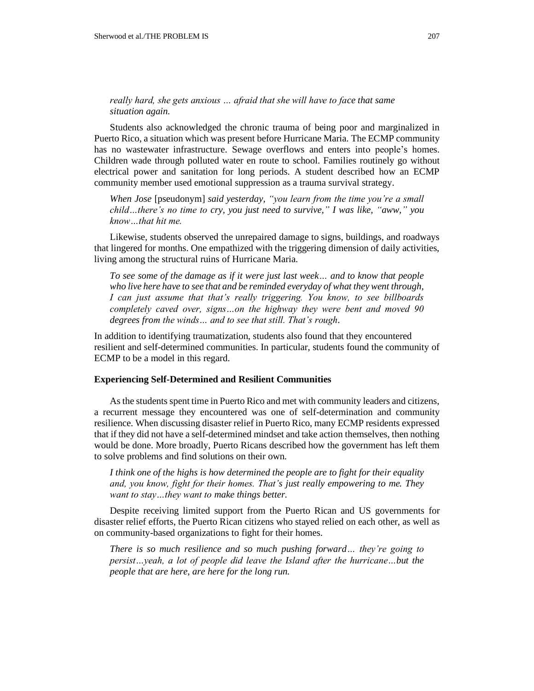## *really hard, she gets anxious … afraid that she will have to face that same situation again.*

Students also acknowledged the chronic trauma of being poor and marginalized in Puerto Rico, a situation which was present before Hurricane Maria. The ECMP community has no wastewater infrastructure. Sewage overflows and enters into people's homes. Children wade through polluted water en route to school. Families routinely go without electrical power and sanitation for long periods. A student described how an ECMP community member used emotional suppression as a trauma survival strategy.

*When Jose* [pseudonym] *said yesterday, "you learn from the time you're a small child…there's no time to cry, you just need to survive," I was like, "aww," you know…that hit me.*

Likewise, students observed the unrepaired damage to signs, buildings, and roadways that lingered for months. One empathized with the triggering dimension of daily activities, living among the structural ruins of Hurricane Maria.

*To see some of the damage as if it were just last week… and to know that people who live here have to see that and be reminded everyday of what they went through, I can just assume that that's really triggering. You know, to see billboards completely caved over, signs…on the highway they were bent and moved 90 degrees from the winds… and to see that still. That's rough.*

In addition to identifying traumatization, students also found that they encountered resilient and self-determined communities. In particular, students found the community of ECMP to be a model in this regard.

### **Experiencing Self-Determined and Resilient Communities**

As the students spent time in Puerto Rico and met with community leaders and citizens, a recurrent message they encountered was one of self-determination and community resilience. When discussing disaster relief in Puerto Rico, many ECMP residents expressed that if they did not have a self-determined mindset and take action themselves, then nothing would be done. More broadly, Puerto Ricans described how the government has left them to solve problems and find solutions on their own.

*I think one of the highs is how determined the people are to fight for their equality and, you know, fight for their homes. That's just really empowering to me. They want to stay…they want to make things better.*

Despite receiving limited support from the Puerto Rican and US governments for disaster relief efforts, the Puerto Rican citizens who stayed relied on each other, as well as on community-based organizations to fight for their homes.

*There is so much resilience and so much pushing forward… they're going to persist…yeah, a lot of people did leave the Island after the hurricane…but the people that are here, are here for the long run.*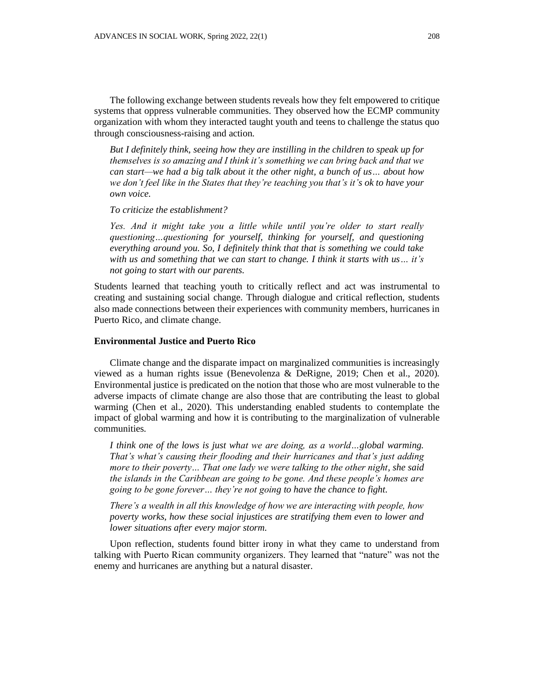The following exchange between students reveals how they felt empowered to critique systems that oppress vulnerable communities. They observed how the ECMP community organization with whom they interacted taught youth and teens to challenge the status quo through consciousness-raising and action.

*But I definitely think, seeing how they are instilling in the children to speak up for themselves is so amazing and I think it's something we can bring back and that we can start—we had a big talk about it the other night, a bunch of us… about how we don't feel like in the States that they're teaching you that's it's ok to have your own voice.*

*To criticize the establishment?*

*Yes. And it might take you a little while until you're older to start really questioning…questioning for yourself, thinking for yourself, and questioning everything around you. So, I definitely think that that is something we could take with us and something that we can start to change. I think it starts with us… it's not going to start with our parents.*

Students learned that teaching youth to critically reflect and act was instrumental to creating and sustaining social change. Through dialogue and critical reflection, students also made connections between their experiences with community members, hurricanes in Puerto Rico, and climate change.

### **Environmental Justice and Puerto Rico**

Climate change and the disparate impact on marginalized communities is increasingly viewed as a human rights issue (Benevolenza & DeRigne, 2019; Chen et al., 2020). Environmental justice is predicated on the notion that those who are most vulnerable to the adverse impacts of climate change are also those that are contributing the least to global warming (Chen et al., 2020). This understanding enabled students to contemplate the impact of global warming and how it is contributing to the marginalization of vulnerable communities.

*I think one of the lows is just what we are doing, as a world…global warming. That's what's causing their flooding and their hurricanes and that's just adding more to their poverty… That one lady we were talking to the other night, she said the islands in the Caribbean are going to be gone. And these people's homes are going to be gone forever… they're not going to have the chance to fight.*

*There's a wealth in all this knowledge of how we are interacting with people, how poverty works, how these social injustices are stratifying them even to lower and lower situations after every major storm.*

Upon reflection, students found bitter irony in what they came to understand from talking with Puerto Rican community organizers. They learned that "nature" was not the enemy and hurricanes are anything but a natural disaster.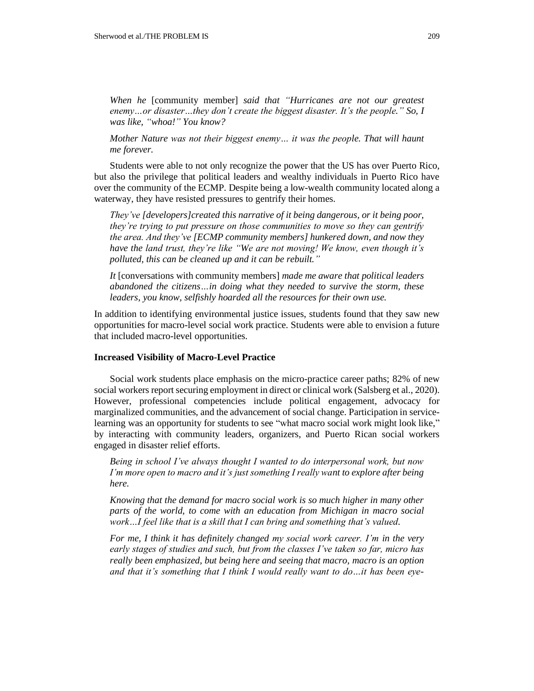*When he* [community member] *said that "Hurricanes are not our greatest enemy…or disaster…they don't create the biggest disaster. It's the people." So, I was like, "whoa!" You know?*

*Mother Nature was not their biggest enemy… it was the people. That will haunt me forever.*

Students were able to not only recognize the power that the US has over Puerto Rico, but also the privilege that political leaders and wealthy individuals in Puerto Rico have over the community of the ECMP. Despite being a low-wealth community located along a waterway, they have resisted pressures to gentrify their homes.

*They've [developers]created this narrative of it being dangerous, or it being poor, they're trying to put pressure on those communities to move so they can gentrify the area. And they've [ECMP community members] hunkered down, and now they have the land trust, they're like "We are not moving! We know, even though it's polluted, this can be cleaned up and it can be rebuilt."*

*It* [conversations with community members] *made me aware that political leaders abandoned the citizens…in doing what they needed to survive the storm, these leaders, you know, selfishly hoarded all the resources for their own use.*

In addition to identifying environmental justice issues, students found that they saw new opportunities for macro-level social work practice. Students were able to envision a future that included macro-level opportunities.

#### **Increased Visibility of Macro-Level Practice**

Social work students place emphasis on the micro-practice career paths; 82% of new social workers report securing employment in direct or clinical work (Salsberg et al., 2020). However, professional competencies include political engagement, advocacy for marginalized communities, and the advancement of social change. Participation in servicelearning was an opportunity for students to see "what macro social work might look like," by interacting with community leaders, organizers, and Puerto Rican social workers engaged in disaster relief efforts.

*Being in school I've always thought I wanted to do interpersonal work, but now I'm more open to macro and it's just something I really want to explore after being here.*

*Knowing that the demand for macro social work is so much higher in many other parts of the world, to come with an education from Michigan in macro social work…I feel like that is a skill that I can bring and something that's valued.*

*For me, I think it has definitely changed my social work career. I'm in the very early stages of studies and such, but from the classes I've taken so far, micro has really been emphasized, but being here and seeing that macro, macro is an option and that it's something that I think I would really want to do…it has been eye-*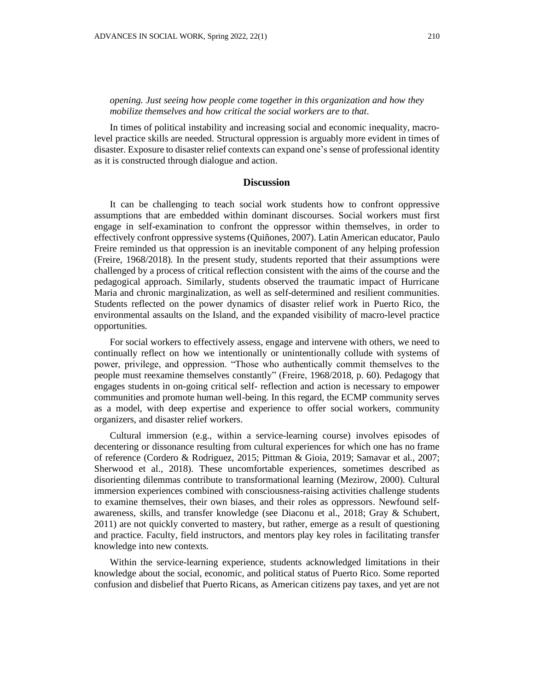## *opening. Just seeing how people come together in this organization and how they mobilize themselves and how critical the social workers are to that.*

In times of political instability and increasing social and economic inequality, macrolevel practice skills are needed. Structural oppression is arguably more evident in times of disaster. Exposure to disaster relief contexts can expand one's sense of professional identity as it is constructed through dialogue and action.

## **Discussion**

It can be challenging to teach social work students how to confront oppressive assumptions that are embedded within dominant discourses. Social workers must first engage in self-examination to confront the oppressor within themselves, in order to effectively confront oppressive systems (Quiñones, 2007). Latin American educator, Paulo Freire reminded us that oppression is an inevitable component of any helping profession (Freire, 1968/2018). In the present study, students reported that their assumptions were challenged by a process of critical reflection consistent with the aims of the course and the pedagogical approach. Similarly, students observed the traumatic impact of Hurricane Maria and chronic marginalization, as well as self-determined and resilient communities. Students reflected on the power dynamics of disaster relief work in Puerto Rico, the environmental assaults on the Island, and the expanded visibility of macro-level practice opportunities.

For social workers to effectively assess, engage and intervene with others, we need to continually reflect on how we intentionally or unintentionally collude with systems of power, privilege, and oppression. "Those who authentically commit themselves to the people must reexamine themselves constantly" (Freire, 1968/2018, p. 60). Pedagogy that engages students in on-going critical self- reflection and action is necessary to empower communities and promote human well-being. In this regard, the ECMP community serves as a model, with deep expertise and experience to offer social workers, community organizers, and disaster relief workers.

Cultural immersion (e.g., within a service-learning course) involves episodes of decentering or dissonance resulting from cultural experiences for which one has no frame of reference (Cordero & Rodriguez, 2015; Pittman & Gioia, 2019; Samavar et al., 2007; Sherwood et al., 2018). These uncomfortable experiences, sometimes described as disorienting dilemmas contribute to transformational learning (Mezirow, 2000). Cultural immersion experiences combined with consciousness-raising activities challenge students to examine themselves, their own biases, and their roles as oppressors. Newfound selfawareness, skills, and transfer knowledge (see Diaconu et al., 2018; Gray & Schubert, 2011) are not quickly converted to mastery, but rather, emerge as a result of questioning and practice. Faculty, field instructors, and mentors play key roles in facilitating transfer knowledge into new contexts.

Within the service-learning experience, students acknowledged limitations in their knowledge about the social, economic, and political status of Puerto Rico. Some reported confusion and disbelief that Puerto Ricans, as American citizens pay taxes, and yet are not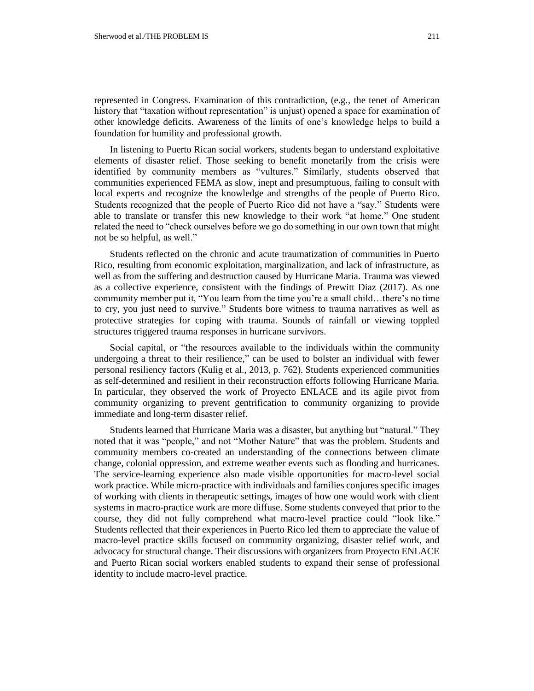represented in Congress. Examination of this contradiction, (e.g., the tenet of American history that "taxation without representation" is unjust) opened a space for examination of other knowledge deficits. Awareness of the limits of one's knowledge helps to build a foundation for humility and professional growth.

In listening to Puerto Rican social workers, students began to understand exploitative elements of disaster relief. Those seeking to benefit monetarily from the crisis were identified by community members as "vultures." Similarly, students observed that communities experienced FEMA as slow, inept and presumptuous, failing to consult with local experts and recognize the knowledge and strengths of the people of Puerto Rico. Students recognized that the people of Puerto Rico did not have a "say." Students were able to translate or transfer this new knowledge to their work "at home." One student related the need to "check ourselves before we go do something in our own town that might not be so helpful, as well."

Students reflected on the chronic and acute traumatization of communities in Puerto Rico, resulting from economic exploitation, marginalization, and lack of infrastructure, as well as from the suffering and destruction caused by Hurricane Maria. Trauma was viewed as a collective experience, consistent with the findings of Prewitt Diaz (2017). As one community member put it, "You learn from the time you're a small child…there's no time to cry, you just need to survive." Students bore witness to trauma narratives as well as protective strategies for coping with trauma. Sounds of rainfall or viewing toppled structures triggered trauma responses in hurricane survivors.

Social capital, or "the resources available to the individuals within the community undergoing a threat to their resilience," can be used to bolster an individual with fewer personal resiliency factors (Kulig et al., 2013, p. 762). Students experienced communities as self-determined and resilient in their reconstruction efforts following Hurricane Maria. In particular, they observed the work of Proyecto ENLACE and its agile pivot from community organizing to prevent gentrification to community organizing to provide immediate and long-term disaster relief.

Students learned that Hurricane Maria was a disaster, but anything but "natural." They noted that it was "people," and not "Mother Nature" that was the problem. Students and community members co-created an understanding of the connections between climate change, colonial oppression, and extreme weather events such as flooding and hurricanes. The service-learning experience also made visible opportunities for macro-level social work practice. While micro-practice with individuals and families conjures specific images of working with clients in therapeutic settings, images of how one would work with client systems in macro-practice work are more diffuse. Some students conveyed that prior to the course, they did not fully comprehend what macro-level practice could "look like." Students reflected that their experiences in Puerto Rico led them to appreciate the value of macro-level practice skills focused on community organizing, disaster relief work, and advocacy for structural change. Their discussions with organizers from Proyecto ENLACE and Puerto Rican social workers enabled students to expand their sense of professional identity to include macro-level practice.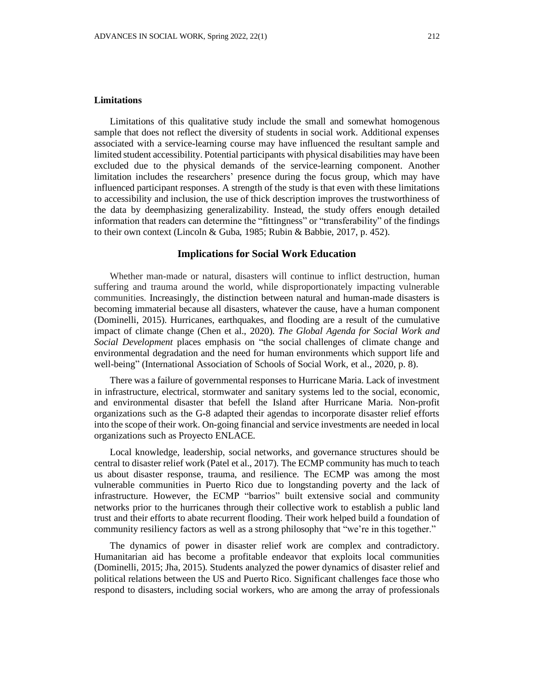#### **Limitations**

Limitations of this qualitative study include the small and somewhat homogenous sample that does not reflect the diversity of students in social work. Additional expenses associated with a service-learning course may have influenced the resultant sample and limited student accessibility. Potential participants with physical disabilities may have been excluded due to the physical demands of the service-learning component. Another limitation includes the researchers' presence during the focus group, which may have influenced participant responses. A strength of the study is that even with these limitations to accessibility and inclusion, the use of thick description improves the trustworthiness of the data by deemphasizing generalizability. Instead, the study offers enough detailed information that readers can determine the "fittingness" or "transferability" of the findings to their own context (Lincoln & Guba, 1985; Rubin & Babbie, 2017, p. 452).

### **Implications for Social Work Education**

Whether man-made or natural, disasters will continue to inflict destruction, human suffering and trauma around the world, while disproportionately impacting vulnerable communities. Increasingly, the distinction between natural and human-made disasters is becoming immaterial because all disasters, whatever the cause, have a human component (Dominelli, 2015). Hurricanes, earthquakes, and flooding are a result of the cumulative impact of climate change (Chen et al., 2020). *The Global Agenda for Social Work and Social Development* places emphasis on "the social challenges of climate change and environmental degradation and the need for human environments which support life and well-being" (International Association of Schools of Social Work, et al., 2020, p. 8).

There was a failure of governmental responses to Hurricane Maria. Lack of investment in infrastructure, electrical, stormwater and sanitary systems led to the social, economic, and environmental disaster that befell the Island after Hurricane Maria. Non-profit organizations such as the G-8 adapted their agendas to incorporate disaster relief efforts into the scope of their work. On-going financial and service investments are needed in local organizations such as Proyecto ENLACE.

Local knowledge, leadership, social networks, and governance structures should be central to disaster relief work (Patel et al., 2017). The ECMP community has much to teach us about disaster response, trauma, and resilience. The ECMP was among the most vulnerable communities in Puerto Rico due to longstanding poverty and the lack of infrastructure. However, the ECMP "barrios" built extensive social and community networks prior to the hurricanes through their collective work to establish a public land trust and their efforts to abate recurrent flooding. Their work helped build a foundation of community resiliency factors as well as a strong philosophy that "we're in this together."

The dynamics of power in disaster relief work are complex and contradictory. Humanitarian aid has become a profitable endeavor that exploits local communities (Dominelli, 2015; Jha, 2015). Students analyzed the power dynamics of disaster relief and political relations between the US and Puerto Rico. Significant challenges face those who respond to disasters, including social workers, who are among the array of professionals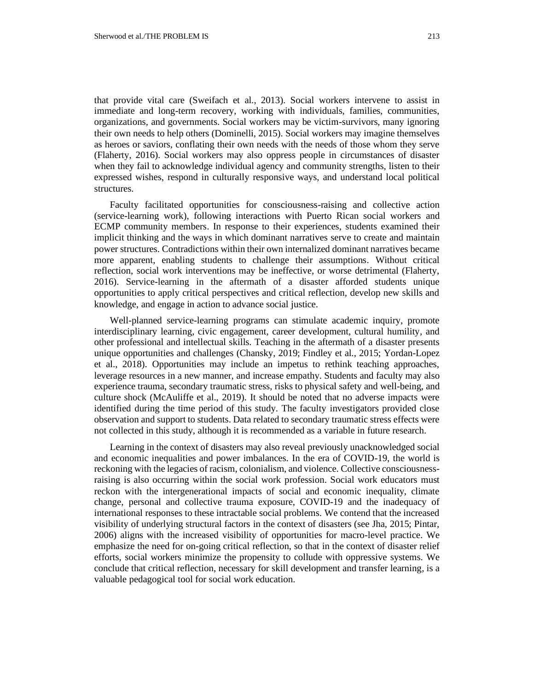structures.

that provide vital care (Sweifach et al., 2013). Social workers intervene to assist in immediate and long-term recovery, working with individuals, families, communities, organizations, and governments. Social workers may be victim-survivors, many ignoring their own needs to help others (Dominelli, 2015). Social workers may imagine themselves as heroes or saviors, conflating their own needs with the needs of those whom they serve (Flaherty, 2016). Social workers may also oppress people in circumstances of disaster when they fail to acknowledge individual agency and community strengths, listen to their expressed wishes, respond in culturally responsive ways, and understand local political

Faculty facilitated opportunities for consciousness-raising and collective action (service-learning work), following interactions with Puerto Rican social workers and ECMP community members. In response to their experiences, students examined their implicit thinking and the ways in which dominant narratives serve to create and maintain power structures. Contradictions within their own internalized dominant narratives became more apparent, enabling students to challenge their assumptions. Without critical reflection, social work interventions may be ineffective, or worse detrimental (Flaherty, 2016). Service-learning in the aftermath of a disaster afforded students unique opportunities to apply critical perspectives and critical reflection, develop new skills and knowledge, and engage in action to advance social justice.

Well-planned service-learning programs can stimulate academic inquiry, promote interdisciplinary learning, civic engagement, career development, cultural humility, and other professional and intellectual skills. Teaching in the aftermath of a disaster presents unique opportunities and challenges (Chansky, 2019; Findley et al., 2015; Yordan-Lopez et al., 2018). Opportunities may include an impetus to rethink teaching approaches, leverage resources in a new manner, and increase empathy. Students and faculty may also experience trauma, secondary traumatic stress, risks to physical safety and well-being, and culture shock (McAuliffe et al., 2019). It should be noted that no adverse impacts were identified during the time period of this study. The faculty investigators provided close observation and support to students. Data related to secondary traumatic stress effects were not collected in this study, although it is recommended as a variable in future research.

Learning in the context of disasters may also reveal previously unacknowledged social and economic inequalities and power imbalances. In the era of COVID-19, the world is reckoning with the legacies of racism, colonialism, and violence. Collective consciousnessraising is also occurring within the social work profession. Social work educators must reckon with the intergenerational impacts of social and economic inequality, climate change, personal and collective trauma exposure, COVID-19 and the inadequacy of international responses to these intractable social problems. We contend that the increased visibility of underlying structural factors in the context of disasters (see Jha, 2015; Pintar, 2006) aligns with the increased visibility of opportunities for macro-level practice. We emphasize the need for on-going critical reflection, so that in the context of disaster relief efforts, social workers minimize the propensity to collude with oppressive systems. We conclude that critical reflection, necessary for skill development and transfer learning, is a valuable pedagogical tool for social work education.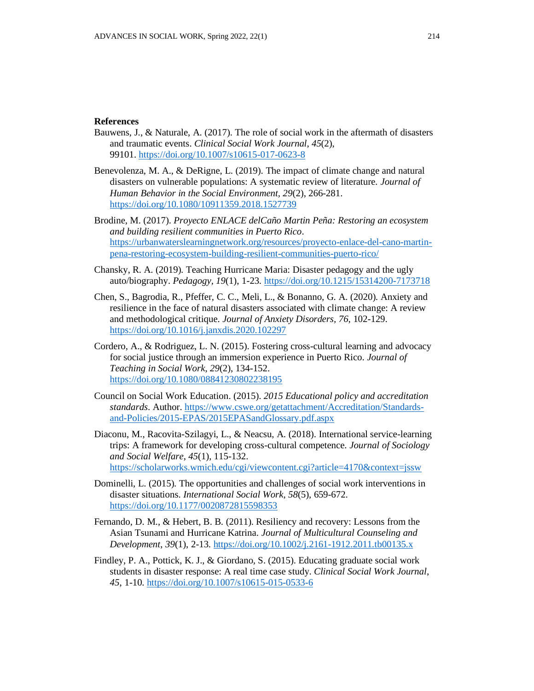### **References**

- Bauwens, J., & Naturale, A. (2017). The role of social work in the aftermath of disasters and traumatic events. *Clinical Social Work Journal*, *45*(2), 99101. <https://doi.org/10.1007/s10615-017-0623-8>
- Benevolenza, M. A., & DeRigne, L. (2019). The impact of climate change and natural disasters on vulnerable populations: A systematic review of literature. *Journal of Human Behavior in the Social Environment, 29*(2), 266-281. <https://doi.org/10.1080/10911359.2018.1527739>
- Brodine, M. (2017). *Proyecto ENLACE delCaño Martin Peña: Restoring an ecosystem and building resilient communities in Puerto Rico*. [https://urbanwaterslearningnetwork.org/resources/proyecto-enlace-del-cano-martin](https://urbanwaterslearningnetwork.org/resources/proyecto-enlace-del-cano-martin-pena-restoring-ecosystem-building-resilient-communities-puerto-rico/)[pena-restoring-ecosystem-building-resilient-communities-puerto-rico/](https://urbanwaterslearningnetwork.org/resources/proyecto-enlace-del-cano-martin-pena-restoring-ecosystem-building-resilient-communities-puerto-rico/)
- Chansky, R. A. (2019). Teaching Hurricane Maria: Disaster pedagogy and the ugly auto/biography. *Pedagogy, 19*(1), 1-23.<https://doi.org/10.1215/15314200-7173718>
- Chen, S., Bagrodia, R., Pfeffer, C. C., Meli, L., & Bonanno, G. A. (2020). Anxiety and resilience in the face of natural disasters associated with climate change: A review and methodological critique. *Journal of Anxiety Disorders, 76*, 102-129. <https://doi.org/10.1016/j.janxdis.2020.102297>
- Cordero, A., & Rodriguez, L. N. (2015). Fostering cross-cultural learning and advocacy for social justice through an immersion experience in Puerto Rico. *Journal of Teaching in Social Work*, *29*(2), 134-152. <https://doi.org/10.1080/08841230802238195>
- Council on Social Work Education. (2015). *2015 Educational policy and accreditation standards*. Author. [https://www.cswe.org/getattachment/Accreditation/Standards](https://www.cswe.org/getattachment/Accreditation/Standards-and-Policies/2015-EPAS/2015EPASandGlossary.pdf.aspx)[and-Policies/2015-EPAS/2015EPASandGlossary.pdf.aspx](https://www.cswe.org/getattachment/Accreditation/Standards-and-Policies/2015-EPAS/2015EPASandGlossary.pdf.aspx)
- Diaconu, M., Racovita-Szilagyi, L., & Neacsu, A. (2018). International service-learning trips: A framework for developing cross-cultural competence. *Journal of Sociology and Social Welfare*, *45*(1), 115-132. <https://scholarworks.wmich.edu/cgi/viewcontent.cgi?article=4170&context=jssw>
- Dominelli, L. (2015). The opportunities and challenges of social work interventions in disaster situations. *International Social Work*, *58*(5), 659-672. <https://doi.org/10.1177/0020872815598353>
- Fernando, D. M., & Hebert, B. B. (2011). Resiliency and recovery: Lessons from the Asian Tsunami and Hurricane Katrina. *Journal of Multicultural Counseling and Development*, *39*(1), 2-13.<https://doi.org/10.1002/j.2161-1912.2011.tb00135.x>
- Findley, P. A., Pottick, K. J., & Giordano, S. (2015). Educating graduate social work students in disaster response: A real time case study. *Clinical Social Work Journal*, *45*, 1-10. <https://doi.org/10.1007/s10615-015-0533-6>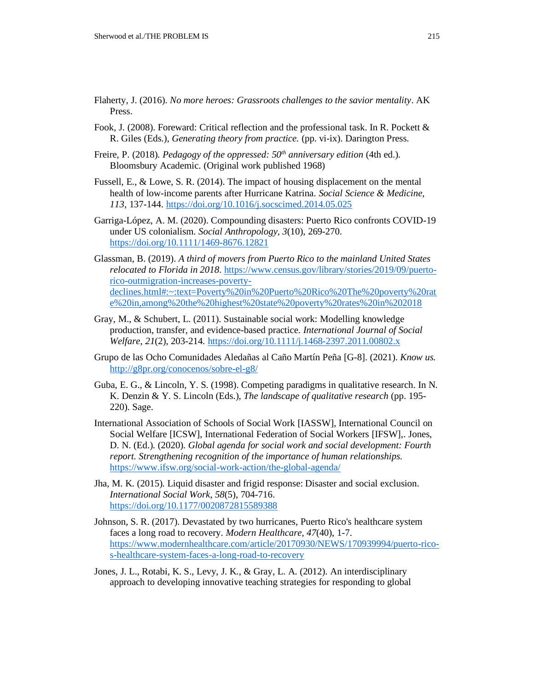- Flaherty, J. (2016). *No more heroes: Grassroots challenges to the savior mentality*. AK Press.
- Fook, J. (2008). Foreward: Critical reflection and the professional task. In R. Pockett & R. Giles (Eds.), *Generating theory from practice.* (pp. vi-ix). Darington Press.
- Freire, P. (2018). *Pedagogy of the oppressed: 50th anniversary edition* (4th ed.). Bloomsbury Academic. (Original work published 1968)
- Fussell, E., & Lowe, S. R. (2014). The impact of housing displacement on the mental health of low-income parents after Hurricane Katrina. *Social Science & Medicine, 113,* 137-144. <https://doi.org/10.1016/j.socscimed.2014.05.025>
- Garriga-López, A. M. (2020). Compounding disasters: Puerto Rico confronts COVID-19 under US colonialism. *Social Anthropology, 3*(10), 269-270. <https://doi.org/10.1111/1469-8676.12821>
- Glassman, B. (2019). *A third of movers from Puerto Rico to the mainland United States relocated to Florida in 2018*. [https://www.census.gov/library/stories/2019/09/puerto](https://www.census.gov/library/stories/2019/09/puerto-rico-outmigration-increases-poverty-declines.html#:~:text=Poverty%20in%20Puerto%20Rico%20The%20poverty%20rate%20in,among%20the%20highest%20state%20poverty%20rates%20in%202018)[rico-outmigration-increases-poverty](https://www.census.gov/library/stories/2019/09/puerto-rico-outmigration-increases-poverty-declines.html#:~:text=Poverty%20in%20Puerto%20Rico%20The%20poverty%20rate%20in,among%20the%20highest%20state%20poverty%20rates%20in%202018)[declines.html#:~:text=Poverty%20in%20Puerto%20Rico%20The%20poverty%20rat](https://www.census.gov/library/stories/2019/09/puerto-rico-outmigration-increases-poverty-declines.html#:~:text=Poverty%20in%20Puerto%20Rico%20The%20poverty%20rate%20in,among%20the%20highest%20state%20poverty%20rates%20in%202018) [e%20in,among%20the%20highest%20state%20poverty%20rates%20in%202018](https://www.census.gov/library/stories/2019/09/puerto-rico-outmigration-increases-poverty-declines.html#:~:text=Poverty%20in%20Puerto%20Rico%20The%20poverty%20rate%20in,among%20the%20highest%20state%20poverty%20rates%20in%202018)
- Gray, M., & Schubert, L. (2011). Sustainable social work: Modelling knowledge production, transfer, and evidence-based practice. *International Journal of Social Welfare*, *21*(2), 203-214. <https://doi.org/10.1111/j.1468-2397.2011.00802.x>
- Grupo de las Ocho Comunidades Aledañas al Caño Martín Peña [G-8]. (2021). *Know us.* <http://g8pr.org/conocenos/sobre-el-g8/>
- Guba, E. G., & Lincoln, Y. S. (1998). Competing paradigms in qualitative research. In N. K. Denzin & Y. S. Lincoln (Eds.), *The landscape of qualitative research* (pp. 195- 220). Sage.
- International Association of Schools of Social Work [IASSW], International Council on Social Welfare [ICSW], International Federation of Social Workers [IFSW],. Jones, D. N. (Ed.). (2020). *Global agenda for social work and social development: Fourth report. Strengthening recognition of the importance of human relationships.* <https://www.ifsw.org/social-work-action/the-global-agenda/>
- Jha, M. K. (2015). Liquid disaster and frigid response: Disaster and social exclusion. *International Social Work*, *58*(5), 704-716. <https://doi.org/10.1177/0020872815589388>
- Johnson, S. R. (2017). Devastated by two hurricanes, Puerto Rico's healthcare system faces a long road to recovery. *Modern Healthcare*, *47*(40), 1-7. [https://www.modernhealthcare.com/article/20170930/NEWS/170939994/puerto-rico](https://www.modernhealthcare.com/article/20170930/NEWS/170939994/puerto-rico-s-healthcare-system-faces-a-long-road-to-recovery)[s-healthcare-system-faces-a-long-road-to-recovery](https://www.modernhealthcare.com/article/20170930/NEWS/170939994/puerto-rico-s-healthcare-system-faces-a-long-road-to-recovery)
- Jones, J. L., Rotabi, K. S., Levy, J. K., & Gray, L. A. (2012). An interdisciplinary approach to developing innovative teaching strategies for responding to global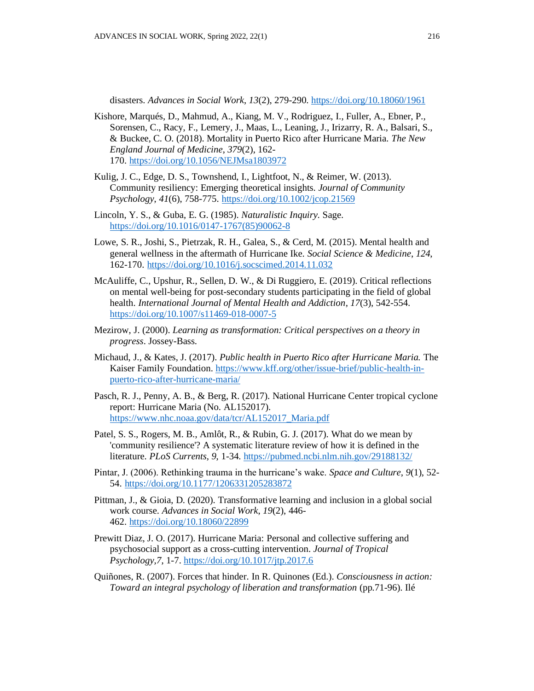disasters. *Advances in Social Work*, *13*(2), 279-290. <https://doi.org/10.18060/1961>

- Kishore, Marqués, D., Mahmud, A., Kiang, M. V., Rodriguez, I., Fuller, A., Ebner, P., Sorensen, C., Racy, F., Lemery, J., Maas, L., Leaning, J., Irizarry, R. A., Balsari, S., & Buckee, C. O. (2018). Mortality in Puerto Rico after Hurricane Maria. *The New England Journal of Medicine*, *379*(2), 162- 170. <https://doi.org/10.1056/NEJMsa1803972>
- Kulig, J. C., Edge, D. S., Townshend, I., Lightfoot, N., & Reimer, W. (2013). Community resiliency: Emerging theoretical insights. *Journal of Community Psychology*, *41*(6), 758-775. <https://doi.org/10.1002/jcop.21569>
- Lincoln, Y. S., & Guba, E. G. (1985). *Naturalistic Inquiry.* Sage. [https://doi.org/10.1016/0147-1767\(85\)90062-8](https://doi.org/10.1016/0147-1767(85)90062-8)
- Lowe, S. R., Joshi, S., Pietrzak, R. H., Galea, S., & Cerd, M. (2015). Mental health and general wellness in the aftermath of Hurricane Ike. *Social Science & Medicine*, *124*, 162-170. <https://doi.org/10.1016/j.socscimed.2014.11.032>
- McAuliffe, C., Upshur, R., Sellen, D. W., & Di Ruggiero, E. (2019). Critical reflections on mental well-being for post-secondary students participating in the field of global health. *International Journal of Mental Health and Addiction*, *17*(3), 542-554. <https://doi.org/10.1007/s11469-018-0007-5>
- Mezirow, J. (2000). *Learning as transformation: Critical perspectives on a theory in progress*. Jossey-Bass.
- Michaud, J., & Kates, J. (2017). *Public health in Puerto Rico after Hurricane Maria.* The Kaiser Family Foundation. [https://www.kff.org/other/issue-brief/public-health-in](https://www.kff.org/other/issue-brief/public-health-in-puerto-rico-after-hurricane-maria/)[puerto-rico-after-hurricane-maria/](https://www.kff.org/other/issue-brief/public-health-in-puerto-rico-after-hurricane-maria/)
- Pasch, R. J., Penny, A. B., & Berg, R. (2017). National Hurricane Center tropical cyclone report: Hurricane Maria (No. AL152017). [https://www.nhc.noaa.gov/data/tcr/AL152017\\_Maria.pdf](https://www.nhc.noaa.gov/data/tcr/AL152017_Maria.pdf)
- Patel, S. S., Rogers, M. B., Amlôt, R., & Rubin, G. J. (2017). What do we mean by 'community resilience'? A systematic literature review of how it is defined in the literature. *PLoS Currents*, *9*, 1-34. <https://pubmed.ncbi.nlm.nih.gov/29188132/>
- Pintar, J. (2006). Rethinking trauma in the hurricane's wake. *Space and Culture*, *9*(1), 52- 54. <https://doi.org/10.1177/1206331205283872>
- Pittman, J., & Gioia, D. (2020). Transformative learning and inclusion in a global social work course. *Advances in Social Work*, *19*(2), 446- 462. <https://doi.org/10.18060/22899>
- Prewitt Diaz, J. O. (2017). Hurricane Maria: Personal and collective suffering and psychosocial support as a cross-cutting intervention. *Journal of Tropical Psychology,7*, 1-7[. https://doi.org/10.1017/jtp.2017.6](https://doi.org/10.1017/jtp.2017.6)
- Quiñones, R. (2007). Forces that hinder. In R. Quinones (Ed.). *Consciousness in action: Toward an integral psychology of liberation and transformation* (pp.71-96). Ilé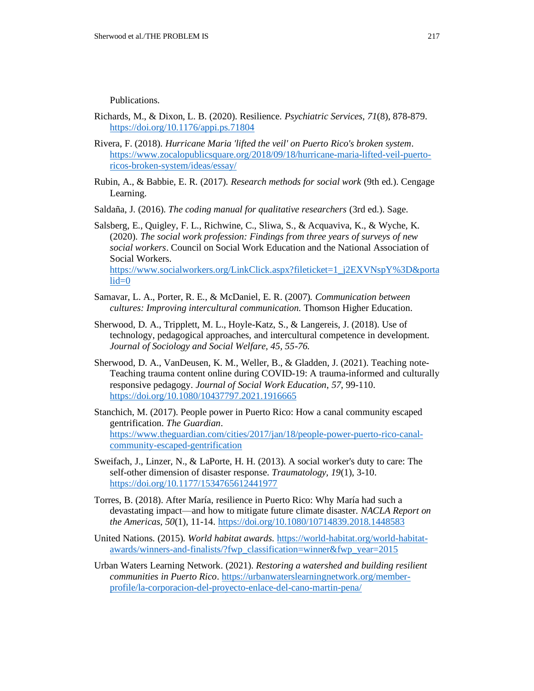Publications.

- Richards, M., & Dixon, L. B. (2020). Resilience. *Psychiatric Services, 71*(8), 878-879. <https://doi.org/10.1176/appi.ps.71804>
- Rivera, F. (2018). *Hurricane Maria 'lifted the veil' on Puerto Rico's broken system*. [https://www.zocalopublicsquare.org/2018/09/18/hurricane-maria-lifted-veil-puerto](https://www.zocalopublicsquare.org/2018/09/18/hurricane-maria-lifted-veil-puerto-ricos-broken-system/ideas/essay/)[ricos-broken-system/ideas/essay/](https://www.zocalopublicsquare.org/2018/09/18/hurricane-maria-lifted-veil-puerto-ricos-broken-system/ideas/essay/)
- Rubin, A., & Babbie, E. R. (2017). *Research methods for social work* (9th ed.). Cengage Learning.
- Saldaña, J. (2016). *The coding manual for qualitative researchers* (3rd ed.). Sage.

Salsberg, E., Quigley, F. L., Richwine, C., Sliwa, S., & Acquaviva, K., & Wyche, K. (2020). *The social work profession: Findings from three years of surveys of new social workers*. Council on Social Work Education and the National Association of Social Workers. [https://www.socialworkers.org/LinkClick.aspx?fileticket=1\\_j2EXVNspY%3D&porta](https://www.socialworkers.org/LinkClick.aspx?fileticket=1_j2EXVNspY%3D&portalid=0)  $lid=0$ 

- Samavar, L. A., Porter, R. E., & McDaniel, E. R. (2007)*. Communication between cultures: Improving intercultural communication.* Thomson Higher Education.
- Sherwood, D. A., Tripplett, M. L., Hoyle-Katz, S., & Langereis, J. (2018). Use of technology, pedagogical approaches, and intercultural competence in development. *Journal of Sociology and Social Welfare, 45, 55-76.*
- Sherwood, D. A., VanDeusen, K. M., Weller, B., & Gladden, J. (2021). Teaching note-Teaching trauma content online during COVID-19: A trauma-informed and culturally responsive pedagogy. *Journal of Social Work Education*, *57*, 99-110. <https://doi.org/10.1080/10437797.2021.1916665>
- Stanchich, M. (2017). People power in Puerto Rico: How a canal community escaped gentrification. *The Guardian*. [https://www.theguardian.com/cities/2017/jan/18/people-power-puerto-rico-canal](https://www.theguardian.com/cities/2017/jan/18/people-power-puerto-rico-canal-community-escaped-gentrification)[community-escaped-gentrification](https://www.theguardian.com/cities/2017/jan/18/people-power-puerto-rico-canal-community-escaped-gentrification)
- Sweifach, J., Linzer, N., & LaPorte, H. H. (2013). A social worker's duty to care: The self-other dimension of disaster response. *Traumatology, 19*(1), 3-10. <https://doi.org/10.1177/1534765612441977>
- Torres, B. (2018). After María, resilience in Puerto Rico: Why María had such a devastating impact—and how to mitigate future climate disaster. *NACLA Report on the Americas, 50*(1), 11-14. <https://doi.org/10.1080/10714839.2018.1448583>
- United Nations. (2015). *World habitat awards*. [https://world-habitat.org/world-habitat](https://world-habitat.org/world-habitat-awards/winners-and-finalists/?fwp_classification=winner&fwp_year=2015)[awards/winners-and-finalists/?fwp\\_classification=winner&fwp\\_year=2015](https://world-habitat.org/world-habitat-awards/winners-and-finalists/?fwp_classification=winner&fwp_year=2015)
- Urban Waters Learning Network. (2021). *Restoring a watershed and building resilient communities in Puerto Rico*. [https://urbanwaterslearningnetwork.org/member](https://urbanwaterslearningnetwork.org/member-profile/la-corporacion-del-proyecto-enlace-del-cano-martin-pena/)[profile/la-corporacion-del-proyecto-enlace-del-cano-martin-pena/](https://urbanwaterslearningnetwork.org/member-profile/la-corporacion-del-proyecto-enlace-del-cano-martin-pena/)